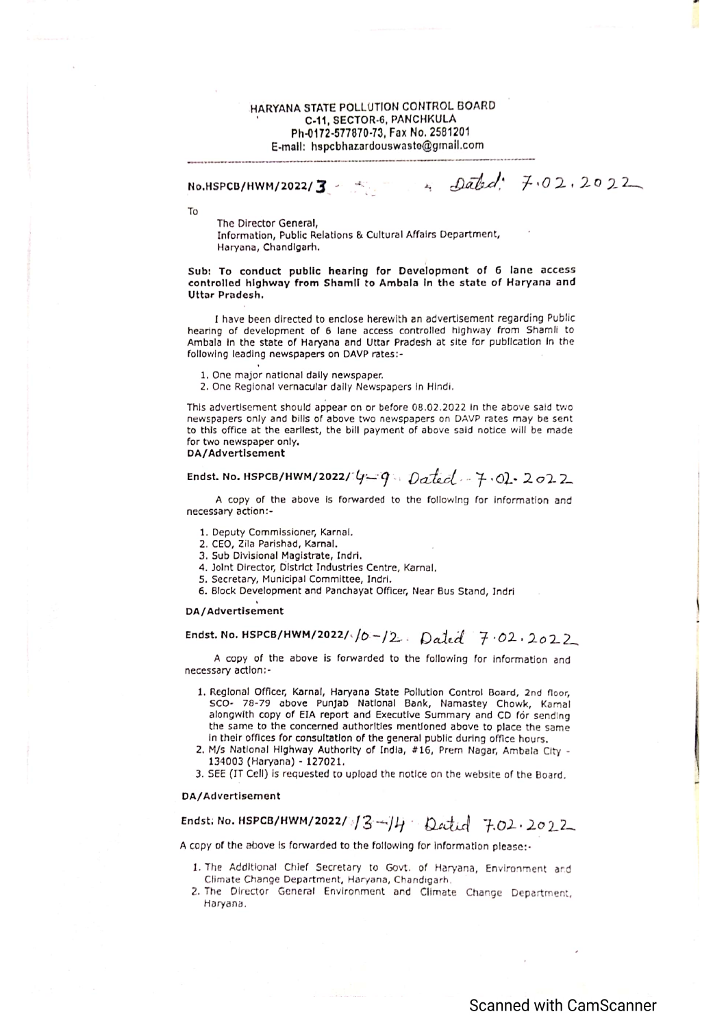## HARYANA STATE POLLUTION CONTROL BOARD C-11, SECTOR-6, PANCHKULA Ph-0172-577870-73, Fax No. 2581201 E-mail: hspcbhazardouswaste@gmail.com

 $-2abd$ : 7.02.2022

## No.HSPCB/HWM/2022/3

**To** 

The Director General, Information, Public Relations & Cultural Affairs Department, Haryana, Chandigarh.

Sub: To conduct public hearing for Development of 6 lane access controlled highway from Shamii to Ambala in the state of Haryana and Uttar Pradesh.

I have been directed to enclose herewith an advertisement regarding Public hearing of development of 6 lane access controlled highway from Shamli to Ambala in the state of Haryana and Uttar Pradesh at site for publication in the following leading newspapers on DAVP rates:-

1. One major national daily newspaper.

2. One Regional vernacular daily Newspapers in Hindi.

This advertisement should appear on or before 08.02.2022 in the above said two newspapers only and bills of above two newspapers on DAVP rates may be sent to this office at the earllest, the bill payment of above said notice will be made for two newspaper only.

#### DA/Advertisement

# Endst. No. HSPCB/HWM/2022/ $y = q$ . Dated  $7 - 7$ . Ol. 2022

A copy of the above is forwarded to the following for information and necessary action:-

- 1. Deputy Commissioner, Karnal.
- 2. CEO, Zila Parishad, Karnal.
- 3. Sub Divisional Magistrate, Indri.
- 4. Joint Director, District Industries Centre, Karnal.
- 5. Secretary, Municipal Committee, Indri.
- 6. Block Development and Panchayat Officer, Near Bus Stand, Indri

#### DA/Advertisement

# Endst. No. HSPCB/HWM/2022/ $/6$ -/2. Dated 7.02.2022

A copy of the above is forwarded to the following for information and necessary action:-

- 1. Regional Officer, Karnal, Haryana State Pollution Control Board, 2nd floor. SCO- 78-79 above Punjab National Bank, Namastey Chowk, Karnal alongwith copy of EIA report and Executive Summary and CD for sending the same to the concerned authorities mentioned above to place the same In their offices for consultation of the general public during office hours.
- 2. M/s National Highway Authority of India, #16, Prem Nagar, Ambala City -134003 (Haryana) - 127021.
- 3. SEE (IT Cell) is requested to upload the notice on the website of the Board.

#### DA/Advertisement

# Endst: No. HSPCB/HWM/2022/  $3 - 14$  Datid 7.02.2022

A copy of the above is forwarded to the following for information please:-

- 1. The AddItional Chief Secretary to Govt. of Haryana, Environment and Climate Change Department, Haryana, Chandigarh.
- 2. The Director General Environment and Climate Change Department, Haryana.

# **Scanned with CamScanner**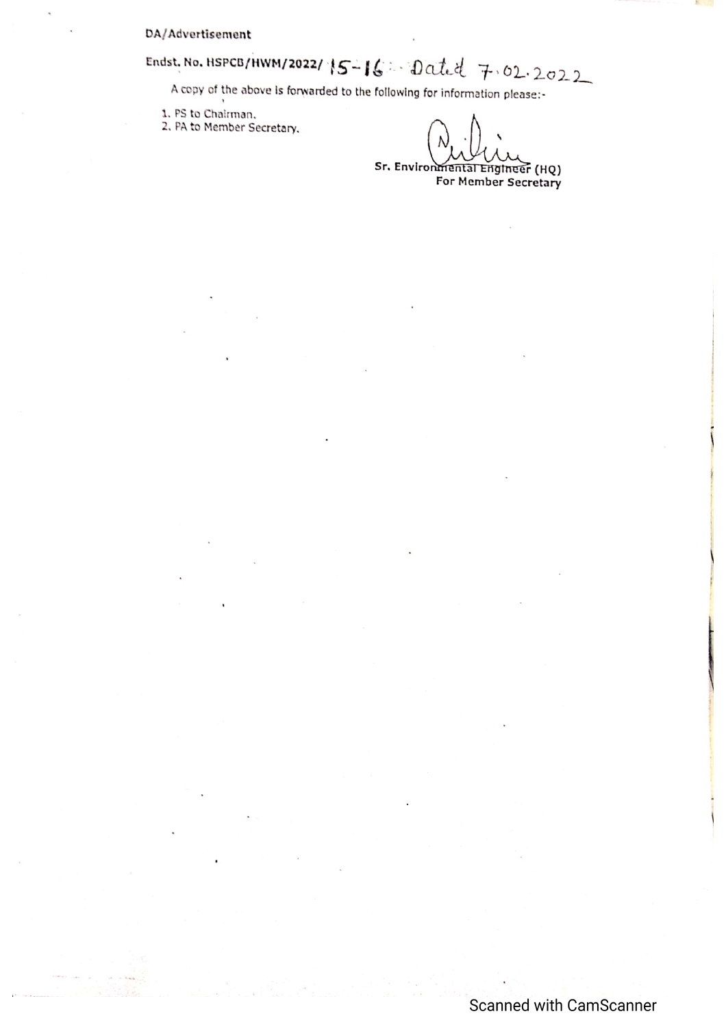### DA/Advertisement

# Endst. No. HSPCB/HWM/2022/15-16: Dated 7.02.2022

A copy of the above is forwarded to the following for information please:-

1. PS to Chairman.

2. PA to Member Secretary.

Sr. Environmental Engineer (HQ) For Member Secretary